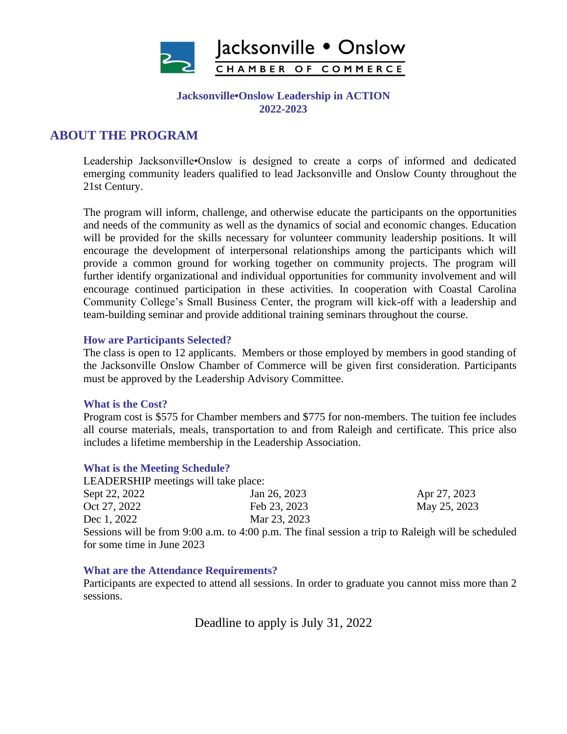

### **Jacksonville•Onslow Leadership in ACTION 2022-2023**

# **ABOUT THE PROGRAM**

Leadership Jacksonville•Onslow is designed to create a corps of informed and dedicated emerging community leaders qualified to lead Jacksonville and Onslow County throughout the 21st Century.

The program will inform, challenge, and otherwise educate the participants on the opportunities and needs of the community as well as the dynamics of social and economic changes. Education will be provided for the skills necessary for volunteer community leadership positions. It will encourage the development of interpersonal relationships among the participants which will provide a common ground for working together on community projects. The program will further identify organizational and individual opportunities for community involvement and will encourage continued participation in these activities. In cooperation with Coastal Carolina Community College's Small Business Center, the program will kick-off with a leadership and team-building seminar and provide additional training seminars throughout the course.

### **How are Participants Selected?**

The class is open to 12 applicants. Members or those employed by members in good standing of the Jacksonville Onslow Chamber of Commerce will be given first consideration. Participants must be approved by the Leadership Advisory Committee.

### **What is the Cost?**

Program cost is \$575 for Chamber members and \$775 for non-members. The tuition fee includes all course materials, meals, transportation to and from Raleigh and certificate. This price also includes a lifetime membership in the Leadership Association.

### **What is the Meeting Schedule?**

| LEADERSHIP meetings will take place: |                                                                                              |              |
|--------------------------------------|----------------------------------------------------------------------------------------------|--------------|
| Sept 22, 2022                        | Jan 26, 2023                                                                                 | Apr 27, 2023 |
| Oct 27, 2022                         | Feb 23, 2023                                                                                 | May 25, 2023 |
| Dec 1, 2022                          | Mar 23, 2023                                                                                 |              |
|                                      | Sessions will be from 9:00 a.m. to 4:00 p.m. The final session a trip to Raleigh will be sch |              |

rons will be from 9:00 a.m. to 4:00 p.m. The final session a trip to Raleigh will be scheduled for some time in June 2023

### **What are the Attendance Requirements?**

Participants are expected to attend all sessions. In order to graduate you cannot miss more than 2 sessions.

Deadline to apply is July 31, 2022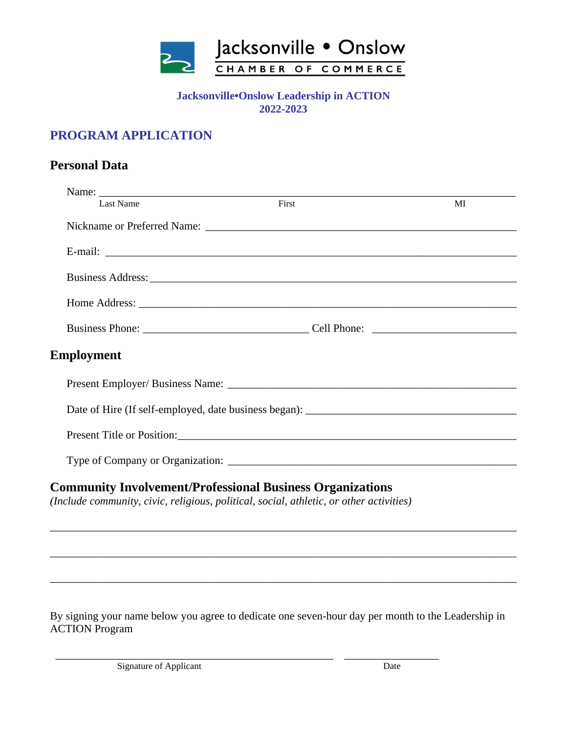

### **Jacksonville•Onslow Leadership in ACTION 2022-2023**

# **PROGRAM APPLICATION**

# **Personal Data**

| Name:             |       |    |
|-------------------|-------|----|
| <b>Last Name</b>  | First | MI |
|                   |       |    |
|                   |       |    |
|                   |       |    |
|                   |       |    |
|                   |       |    |
| <b>Employment</b> |       |    |
|                   |       |    |
|                   |       |    |
|                   |       |    |
|                   |       |    |
|                   |       |    |

# **Community Involvement/Professional Business Organizations**

*(Include community, civic, religious, political, social, athletic, or other activities)* 

By signing your name below you agree to dedicate one seven-hour day per month to the Leadership in ACTION Program

 $\overline{\phantom{a}}$  , and the contribution of the contribution of the contribution of the contribution of  $\overline{\phantom{a}}$ 

\_\_\_\_\_\_\_\_\_\_\_\_\_\_\_\_\_\_\_\_\_\_\_\_\_\_\_\_\_\_\_\_\_\_\_\_\_\_\_\_\_\_\_\_\_\_\_\_\_\_\_\_\_\_\_\_\_\_\_\_\_\_\_\_\_\_\_\_\_\_\_\_\_\_\_\_\_\_\_\_\_\_\_\_

\_\_\_\_\_\_\_\_\_\_\_\_\_\_\_\_\_\_\_\_\_\_\_\_\_\_\_\_\_\_\_\_\_\_\_\_\_\_\_\_\_\_\_\_\_\_\_\_\_\_\_\_\_\_\_\_\_\_\_\_\_\_\_\_\_\_\_\_\_\_\_\_\_\_\_\_\_\_\_\_\_\_\_\_

\_\_\_\_\_\_\_\_\_\_\_\_\_\_\_\_\_\_\_\_\_\_\_\_\_\_\_\_\_\_\_\_\_\_\_\_\_\_\_\_\_\_\_\_\_\_\_\_\_\_\_\_\_\_\_\_\_\_\_\_\_\_\_\_\_\_\_\_\_\_\_\_\_\_\_\_\_\_\_\_\_\_\_\_

Signature of Applicant Date